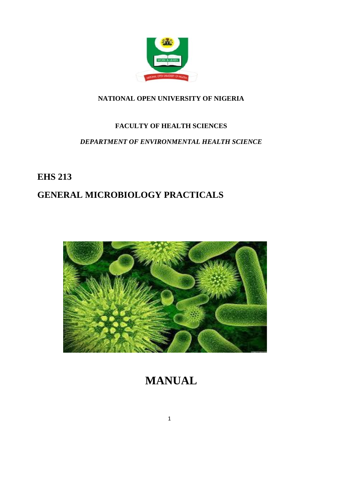

# **NATIONAL OPEN UNIVERSITY OF NIGERIA**

# **FACULTY OF HEALTH SCIENCES**

# *DEPARTMENT OF ENVIRONMENTAL HEALTH SCIENCE*

# **EHS 213**

# **GENERAL MICROBIOLOGY PRACTICALS**



# **MANUAL**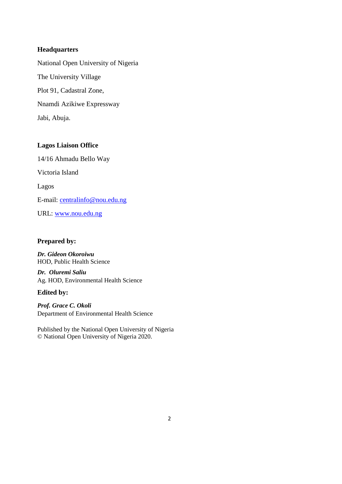#### **Headquarters**

National Open University of Nigeria The University Village Plot 91, Cadastral Zone, Nnamdi Azikiwe Expressway Jabi, Abuja.

#### **Lagos Liaison Office**

14/16 Ahmadu Bello Way Victoria Island Lagos E-mail: centralinfo@nou.edu.ng URL: www.nou.edu.ng

# **Prepared by:**

*Dr. Gideon Okoroiwu* HOD, Public Health Science

*Dr. Oluremi Saliu* Ag. HOD, Environmental Health Science

#### **Edited by:**

*Prof. Grace C. Okoli* Department of Environmental Health Science

Published by the National Open University of Nigeria © National Open University of Nigeria 2020.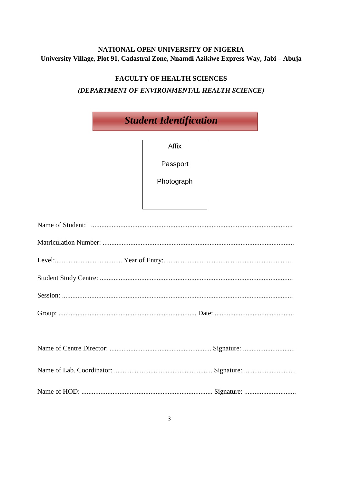# NATIONAL OPEN UNIVERSITY OF NIGERIA University Village, Plot 91, Cadastral Zone, Nnamdi Azikiwe Express Way, Jabi - Abuja

# **FACULTY OF HEALTH SCIENCES** (DEPARTMENT OF ENVIRONMENTAL HEALTH SCIENCE)

| <b>Student Identification</b> |            |  |  |
|-------------------------------|------------|--|--|
|                               | Affix      |  |  |
|                               | Passport   |  |  |
|                               | Photograph |  |  |
|                               |            |  |  |
|                               |            |  |  |
|                               |            |  |  |
|                               |            |  |  |
|                               |            |  |  |
|                               |            |  |  |
|                               |            |  |  |
|                               |            |  |  |
|                               |            |  |  |
|                               |            |  |  |
|                               |            |  |  |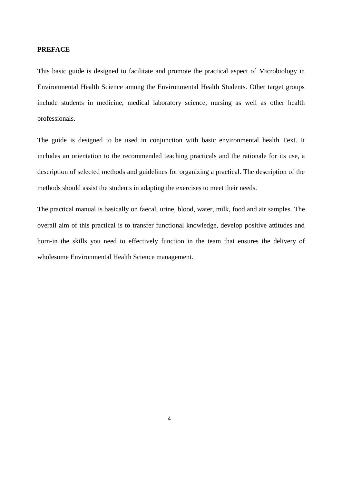#### **PREFACE**

This basic guide is designed to facilitate and promote the practical aspect of Microbiology in Environmental Health Science among the Environmental Health Students. Other target groups include students in medicine, medical laboratory science, nursing as well as other health professionals.

The guide is designed to be used in conjunction with basic environmental health Text. It includes an orientation to the recommended teaching practicals and the rationale for its use, a description of selected methods and guidelines for organizing a practical. The description of the methods should assist the students in adapting the exercises to meet their needs.

The practical manual is basically on faecal, urine, blood, water, milk, food and air samples. The overall aim of this practical is to transfer functional knowledge, develop positive attitudes and horn-in the skills you need to effectively function in the team that ensures the delivery of wholesome Environmental Health Science management.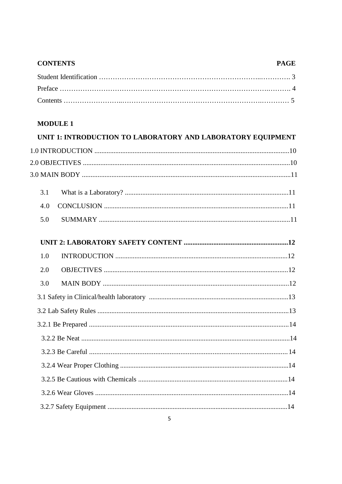# **CONTENTS PAGE**

# **MODULE 1**

| UNIT 1: INTRODUCTION TO LABORATORY AND LABORATORY EQUIPMENT |
|-------------------------------------------------------------|
|                                                             |
|                                                             |
|                                                             |
| 3.1                                                         |
| 4.0                                                         |
| 5.0                                                         |
|                                                             |
| 1.0                                                         |
| 2.0                                                         |
| 3.0                                                         |
|                                                             |
|                                                             |
|                                                             |
|                                                             |
|                                                             |
|                                                             |
|                                                             |
|                                                             |
|                                                             |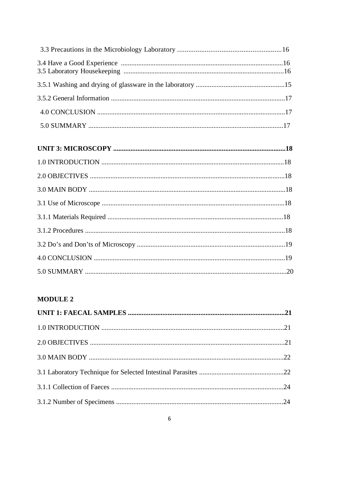# **MODULE 2**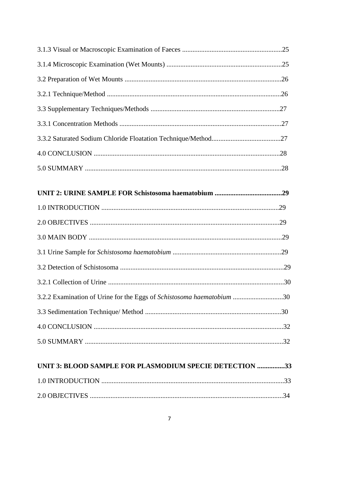| 3.2.2 Examination of Urine for the Eggs of Schistosoma haematobium 30 |  |
|-----------------------------------------------------------------------|--|
|                                                                       |  |
|                                                                       |  |
|                                                                       |  |
| UNIT 3: BLOOD SAMPLE FOR PLASMODIUM SPECIE DETECTION 33               |  |
|                                                                       |  |
|                                                                       |  |
|                                                                       |  |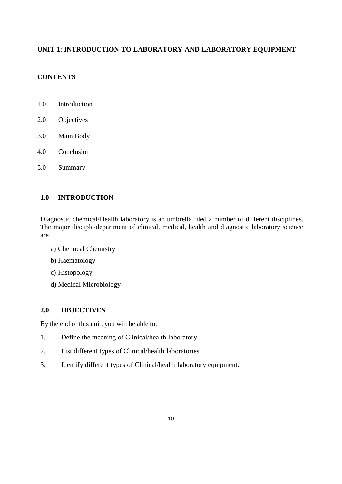# **UNIT 1: INTRODUCTION TO LABORATORY AND LABORATORY EQUIPMENT**

# **CONTENTS**

- 1.0 Introduction
- 2.0 Objectives
- 3.0 Main Body
- 4.0 Conclusion
- 5.0 Summary

# **1.0 INTRODUCTION**

Diagnostic chemical/Health laboratory is an umbrella filed a number of different disciplines. The major disciple/department of clinical, medical, health and diagnostic laboratory science are

- a) Chemical Chemistry
- b) Haematology
- c) Histopology
- d) Medical Microbiology

#### **2.0 OBJECTIVES**

By the end of this unit, you will be able to:

- 1. Define the meaning of Clinical/health laboratory
- 2. List different types of Clinical/health laboratories
- 3. Identify different types of Clinical/health laboratory equipment.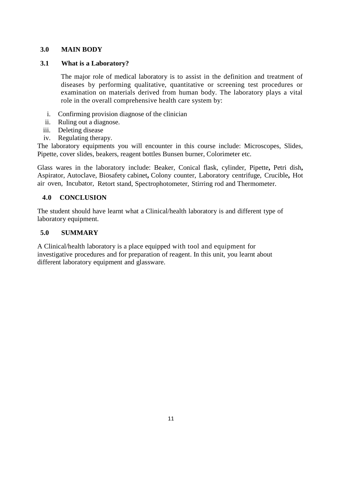## **3.0 MAIN BODY**

#### **3.1 What is a Laboratory?**

The major role of medical laboratory is to assist in the definition and treatment of diseases by performing qualitative, quantitative or screening test procedures or examination on materials derived from human body. The laboratory plays a vital role in the overall comprehensive health care system by:

- i. Confirming provision diagnose of the clinician
- ii. Ruling out a diagnose.
- iii. Deleting disease
- iv. Regulating therapy.

The laboratory equipments you will encounter in this course include: Microscopes, Slides, Pipette, cover slides, beakers, reagent bottles Bunsen burner, Colorimeter etc.

Glass wares in the laboratory include: Beaker, Conical flask, cylinder, Pipette**,** Petri dish**,** Aspirator, Autoclave, Biosafety cabinet**,** Colony counter, Laboratory centrifuge, Crucible**,** Hot air oven, Incubator, Retort stand, Spectrophotometer, Stirring rod and Thermometer.

#### **4.0 CONCLUSION**

The student should have learnt what a Clinical/health laboratory is and different type of laboratory equipment.

#### **5.0 SUMMARY**

A Clinical/health laboratory is a place equipped with tool and equipment for investigative procedures and for preparation of reagent. In this unit, you learnt about different laboratory equipment and glassware.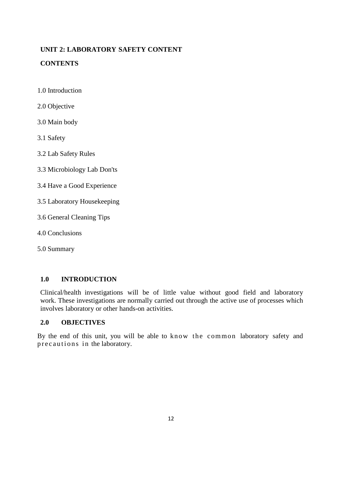# **UNIT 2: LABORATORY SAFETY CONTENT**

# **CONTENTS**

- 1.0 Introduction
- 2.0 Objective
- 3.0 Main body
- 3.1 Safety
- 3.2 Lab Safety Rules
- 3.3 Microbiology Lab Don'ts
- 3.4 Have a Good Experience
- 3.5 Laboratory Housekeeping
- 3.6 General Cleaning Tips
- 4.0 Conclusions
- 5.0 Summary

# **1.0 INTRODUCTION**

Clinical/health investigations will be of little value without good field and laboratory work. These investigations are normally carried out through the active use of processes which

#### **2.0 OBJECTIVES**

involves laboratory or other hands-on activities.<br>
2.0 **OBJECTIVES**<br>
By the end of this unit, you will be able to know<br>
precautions in the laboratory. By the end of this unit, you will be able to know the common laboratory safety and precautions in the laboratory.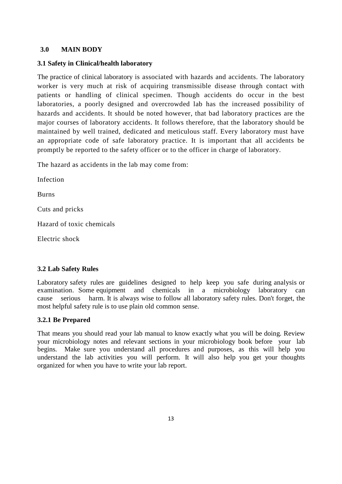#### **3.0 MAIN BODY**

#### **3.1 Safety in Clinical/health laboratory**

The practice of clinical laboratory is associated with hazards and accidents. The laboratory worker is very much at risk of acquiring transmissible disease through contact with patients or handling of clinical specimen. Though accidents do occur in the best laboratories, a poorly designed and overcrowded lab has the increased possibility of hazards and accidents. It should be noted however, that bad laboratory practices are the major courses of laboratory accidents. It follows therefore, that the laboratory should be maintained by well trained, dedicated and meticulous staff. Every laboratory must have an appropriate code of safe laboratory practice. It is important that all accidents be promptly be reported to the safety officer or to the officer in charge of laboratory.

The hazard as accidents in the lab may come from:

Infection Burns Cuts and pricks Hazard of toxic chemicals Electric shock

#### **3.2 Lab Safety Rules**

Laboratory safety rules are guidelines designed to help keep you safe during analysis or examination. Some equipment and chemicals in a microbiology laboratory can cause serious harm. It is always wise to follow all laboratory safety rules. Don't forget, the most helpful safety rule is to use plain old common sense.

#### **3.2.1 Be Prepared**

That means you should read your lab manual to know exactly what you will be doing. Review your microbiology notes and relevant sections in your microbiology book before your lab begins. Make sure you understand all procedures and purposes, as this will help you understand the lab activities you will perform. It will also help you get your thoughts organized for when you have to write your lab report.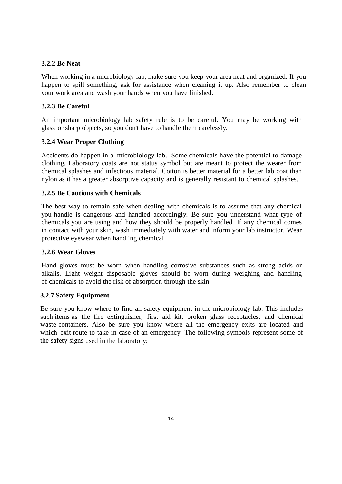#### **3.2.2 Be Neat**

When working in a microbiology lab, make sure you keep your area neat and organized. If you happen to spill something, ask for assistance when cleaning it up. Also remember to clean your work area and wash your hands when you have finished.

## **3.2.3 Be Careful**

An important microbiology lab safety rule is to be careful. You may be working with glass or sharp objects, so you don't have to handle them carelessly.

#### **3.2.4 Wear Proper Clothing**

Accidents do happen in a microbiology lab. Some chemicals have the potential to damage clothing. Laboratory coats are not status symbol but are meant to protect the wearer from chemical splashes and infectious material. Cotton is better material for a better lab coat than nylon as ithas a greater absorptive capacity and is generally resistant to chemical splashes.

#### **3.2.5 Be Cautious with Chemicals**

The best way to remain safe when dealing with chemicals is to assume that any chemical you handle is dangerous and handled accordingly. Be sure you understand what type of chemicals you are using and how they should be properly handled. If any chemical comes in contact with your skin, wash immediately with water and inform your lab instructor. Wear protective eyewear when handling chemical

#### **3.2.6 Wear Gloves**

Hand gloves must be worn when handling corrosive substances such as strong acids or alkalis. Light weight disposable gloves should be worn during weighing and handling of chemicals to avoid the risk of absorption through the skin

#### **3.2.7 Safety Equipment**

Be sure you know where to find all safety equipment in the microbiology lab.This includes such items as the fire extinguisher, first aid kit, broken glass receptacles, and chemical waste containers. Also be sure you know where all the emergency exits are located and which exit route to take in case of an emergency. The following symbols represent some of the safety signs used in the laboratory: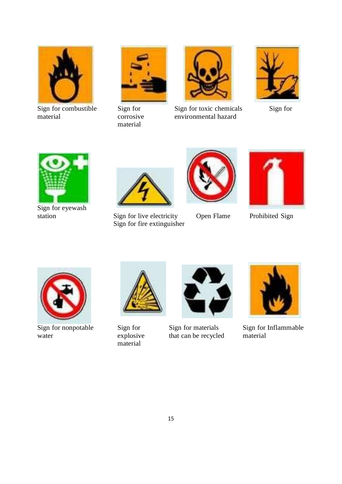

Sign for combustible material



Sign for corrosive material



Sign for toxic chemicals Sign for environmental hazard





Sign for eyewash<br>station



Sign for live electricity Open Flame Prohibited Sign Sign for fire extinguisher







Sign for nonpotable water



Sign for explosive material



Sign for materials that can be recycled



Sign for Inflammable material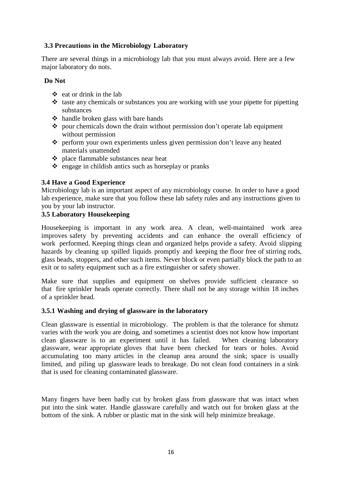# **3.3 Precautions in the Microbiology Laboratory**

There are several things in a microbiology lab that you must always avoid. Here are a few major laboratory do nots.

## **Do Not**

- $\triangle$  eat or drink in the lab
- $\triangleleft$  taste any chemicals or substances you are working with use your pipette for pipetting substances
- $\triangle$  handle broken glass with bare hands
- $\bullet$  pour chemicals down the drain without permission don't operate lab equipment without permission
- perform your own experiments unless given permission don't leave any heated materials unattended
- $\triangle$  place flammable substances near heat
- $\triangle$  engage in childish antics such as horseplay or pranks

#### **3.4 Have a Good Experience**

Microbiology lab is an important aspect of any microbiology course. In order to have a good lab experience, make sure that you follow these lab safety rules and any instructions given to you by your lab instructor.

## **3.5 Laboratory Housekeeping**

Housekeeping is important in any work area. A clean, well-maintained work area improves safety by preventing accidents and can enhance the overall efficiency of work performed. Keeping things clean and organized helps provide a safety. Avoid slipping hazards by cleaning up spilled liquids promptly and keeping the floor free of stirring rods, glass beads, stoppers, and other such items. Never block or even partially block the path to an exit or to safety equipment such as a fire extinguisher or safety shower.

Make sure that supplies and equipment on shelves provide sufficient clearance so that fire sprinkler heads operate correctly. There shall not be any storage within 18 inches of a sprinkler head.

#### **3.5.1 Washing and drying of glassware in the laboratory**

Clean glassware is essential in microbiology. The problem is that the tolerance for shmutz varies with the work you are doing, and sometimes a scientist does not know how important clean glassware is to an experiment until it has failed. When cleaning laboratory glassware, wear appropriate gloves that have been checked for tears or holes. Avoid accumulating too many articles in the cleanup area around the sink; space is usually limited, and piling up glassware leads to breakage. Do not clean food containers in a sink that is used for cleaning contaminated glassware.

Many fingers have been badly cut by broken glass from glassware that was intact when put into the sink water. Handle glassware carefully and watch out for broken glass at the bottom of the sink. A rubber or plastic mat in the sink will help minimize breakage.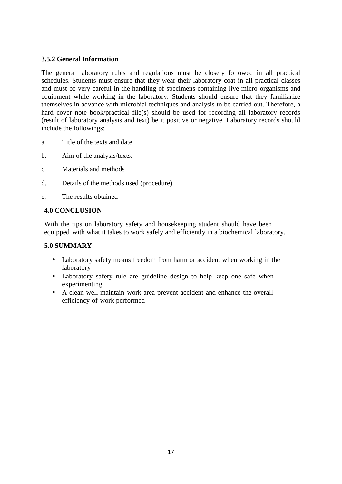# **3.5.2 General Information**

The general laboratory rules and regulations must be closely followed in all practical schedules. Students must ensure that they wear their laboratory coat in all practical classes and must be very careful in the handling of specimens containing live micro-organisms and equipment while working in the laboratory. Students should ensure that they familiarize themselves in advance with microbial techniques and analysis to be carried out. Therefore, a hard cover note book/practical file(s) should be used for recording all laboratory records (result of laboratory analysis and text) be it positive or negative. Laboratory records should include the followings:

- a. Title of the texts and date
- b. Aim of the analysis/texts.
- c. Materials and methods
- d. Details of the methods used (procedure)
- e. The results obtained

# **4.0 CONCLUSION**

With the tips on laboratory safety and housekeeping student should have been equipped with what it takes to work safely and efficiently in a biochemical laboratory.

## **5.0 SUMMARY**

- Laboratory safety means freedom from harm or accident when working in the laboratory
- Laboratory safety rule are guideline design to help keep one safe when experimenting.
- A clean well-maintain work area prevent accident and enhance the overall efficiency of work performed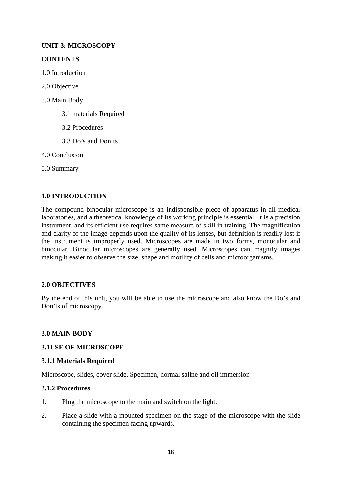# **UNIT 3: MICROSCOPY**

# **CONTENTS**

- 1.0 Introduction
- 2.0 Objective
- 3.0 Main Body
	- 3.1 materials Required
	- 3.2 Procedures
	- 3.3 Do's and Don'ts
- 4.0 Conclusion
- 5.0 Summary

# **1.0 INTRODUCTION**

The compound binocular microscope is an indispensible piece of apparatus in all medical laboratories, and a theoretical knowledge of its working principle is essential. It is a precision instrument, and its efficient use requires same measure of skill in training. The magnification and clarity of the image depends upon the quality of its lenses, but definition is readily lost if the instrument is improperly used. Microscopes are made in two forms, monocular and binocular. Binocular microscopes are generally used. Microscopes can magnify images making it easier to observe the size, shape and motility of cells and microorganisms.

# **2.0 OBJECTIVES**

By the end of this unit, you will be able to use the microscope and also know the Do's and Don'ts of microscopy.

# **3.0 MAIN BODY**

# **3.1USE OF MICROSCOPE**

#### **3.1.1 Materials Required**

Microscope, slides, cover slide. Specimen, normal saline and oil immersion

# **3.1.2 Procedures**

- 1. Plug the microscope to the main and switch on the light.
- 2. Place a slide with a mounted specimen on the stage of the microscope with the slide containing the specimen facing upwards.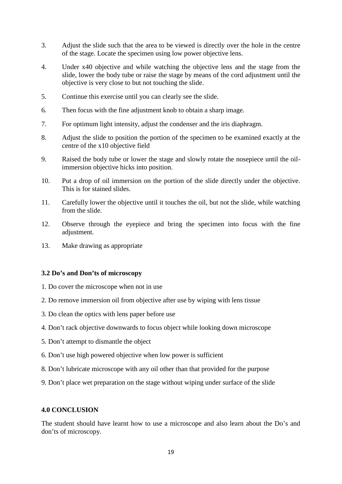- 3. Adjust the slide such that the area to be viewed is directly over the hole in the centre of the stage. Locate the specimen using low power objective lens.
- 4. Under x40 objective and while watching the objective lens and the stage from the slide, lower the body tube or raise the stage by means of the cord adjustment until the objective is very close to but not touching the slide.
- 5. Continue this exercise until you can clearly see the slide.
- 6. Then focus with the fine adjustment knob to obtain a sharp image.
- 7. For optimum light intensity, adjust the condenser and the iris diaphragm.
- 8. Adjust the slide to position the portion of the specimen to be examined exactly at the centre of the x10 objective field
- 9. Raised the body tube or lower the stage and slowly rotate the nosepiece until the oilimmersion objective hicks into position.
- 10. Put a drop of oil immersion on the portion of the slide directly under the objective. This is for stained slides.
- 11. Carefully lower the objective until it touches the oil, but not the slide, while watching from the slide.
- 12. Observe through the eyepiece and bring the specimen into focus with the fine adjustment.
- 13. Make drawing as appropriate

#### **3.2 Do's and Don'ts of microscopy**

- 1. Do cover the microscope when not in use
- 2. Do remove immersion oil from objective after use by wiping with lens tissue
- 3. Do clean the optics with lens paper before use
- 4. Don't rack objective downwards to focus object while looking down microscope
- 5. Don't attempt to dismantle the object
- 6. Don't use high powered objective when low power is sufficient
- 8. Don't lubricate microscope with any oil other than that provided for the purpose
- 9. Don't place wet preparation on the stage without wiping under surface of the slide

#### **4.0 CONCLUSION**

The student should have learnt how to use a microscope and also learn about the Do's and don'ts of microscopy.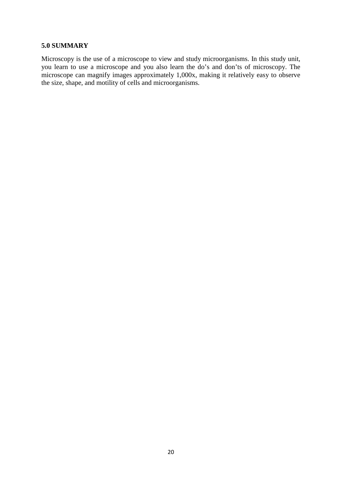#### **5.0 SUMMARY**

Microscopy is the use of a microscope to view and study microorganisms. In this study unit, you learn to use a microscope and you also learn the do's and don'ts of microscopy. The microscope can magnify images approximately 1,000x, making it relatively easy to observe the size, shape, and motility of cells and microorganisms.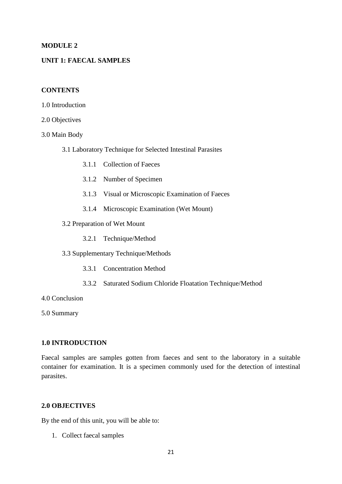#### **MODULE 2**

## **UNIT 1: FAECAL SAMPLES**

#### **CONTENTS**

- 1.0 Introduction
- 2.0 Objectives
- 3.0 Main Body
	- 3.1 Laboratory Technique for Selected Intestinal Parasites
		- 3.1.1 Collection of Faeces
		- 3.1.2 Number of Specimen
		- 3.1.3 Visual or Microscopic Examination of Faeces
		- 3.1.4 Microscopic Examination (Wet Mount)
	- 3.2 Preparation of Wet Mount
		- 3.2.1 Technique/Method
	- 3.3 Supplementary Technique/Methods
		- 3.3.1 Concentration Method
		- 3.3.2 Saturated Sodium Chloride Floatation Technique/Method
- 4.0 Conclusion

5.0 Summary

#### **1.0 INTRODUCTION**

Faecal samples are samples gotten from faeces and sent to the laboratory in a suitable container for examination. It is a specimen commonly used for the detection of intestinal parasites.

## **2.0 OBJECTIVES**

By the end of this unit, you will be able to:

1. Collect faecal samples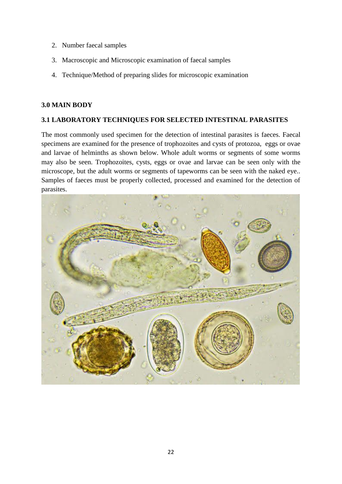- 2. Number faecal samples
- 3. Macroscopic and Microscopic examination of faecal samples
- 4. Technique/Method of preparing slides for microscopic examination

#### **3.0 MAIN BODY**

## **3.1 LABORATORY TECHNIQUES FOR SELECTED INTESTINAL PARASITES**

The most commonly used specimen for the detection of intestinal parasites is faeces. Faecal specimens are examined for the presence of trophozoites and cysts of protozoa, eggs or ovae and larvae of helminths as shown below. Whole adult worms or segments of some worms may also be seen. Trophozoites, cysts, eggs or ovae and larvae can be seen only with the microscope, but the adult worms or segments of tapeworms can be seen with the naked eye.. Samples of faeces must be properly collected, processed and examined for the detection of parasites.

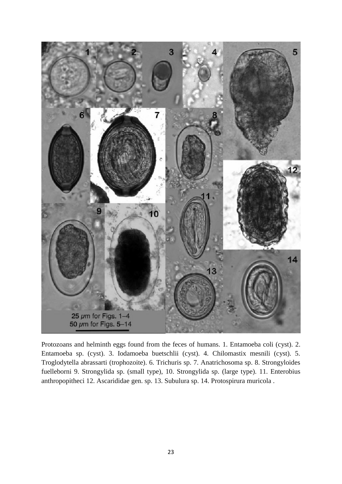

Protozoans and helminth eggs found from the feces of humans. 1. Entamoeba coli (cyst). 2. Entamoeba sp. (cyst). 3. Iodamoeba buetschlii (cyst). 4. Chilomastix mesnili (cyst). 5. Troglodytella abrassarti (trophozoite). 6. Trichuris sp. 7. Anatrichosoma sp. 8. Strongyloides fuelleborni 9. Strongylida sp. (small type), 10. Strongylida sp. (large type). 11. Enterobius anthropopitheci 12. Ascarididae gen. sp. 13. Subulura sp. 14. Protospirura muricola .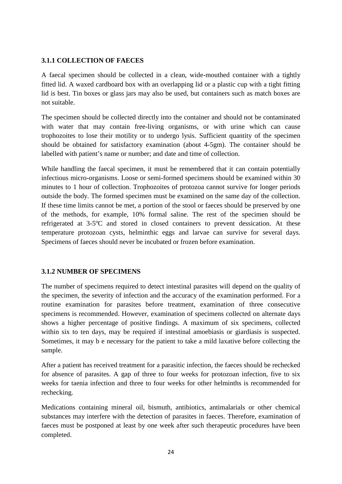# **3.1.1 COLLECTION OF FAECES**

A faecal specimen should be collected in a clean, wide-mouthed container with a tightly fitted lid. A waxed cardboard box with an overlapping lid or a plastic cup with a tight fitting lid is best. Tin boxes or glass jars may also be used, but containers such as match boxes are not suitable.

The specimen should be collected directly into the container and should not be contaminated with water that may contain free-living organisms, or with urine which can cause trophozoites to lose their motility or to undergo lysis. Sufficient quantity of the specimen should be obtained for satisfactory examination (about 4-5gm). The container should be labelled with patient's name or number; and date and time of collection.

While handling the faecal specimen, it must be remembered that it can contain potentially infectious micro-organisms. Loose or semi-formed specimens should be examined within 30 minutes to 1 hour of collection. Trophozoites of protozoa cannot survive for longer periods outside the body. The formed specimen must be examined on the same day of the collection. If these time limits cannot be met, a portion of the stool or faeces should be preserved by one of the methods, for example, 10% formal saline. The rest of the specimen should be refrigerated at 3-5°C and stored in closed containers to prevent dessication. At these temperature protozoan cysts, helminthic eggs and larvae can survive for several days. Specimens of faeces should never be incubated or frozen before examination.

# **3.1.2 NUMBER OF SPECIMENS**

The number of specimens required to detect intestinal parasites will depend on the quality of the specimen, the severity of infection and the accuracy of the examination performed. For a routine examination for parasites before treatment, examination of three consecutive specimens is recommended. However, examination of specimens collected on alternate days shows a higher percentage of positive findings. A maximum of six specimens, collected within six to ten days, may be required if intestinal amoebiasis or giardiasis is suspected. Sometimes, it may b e necessary for the patient to take a mild laxative before collecting the sample.

After a patient has received treatment for a parasitic infection, the faeces should be rechecked for absence of parasites. A gap of three to four weeks for protozoan infection, five to six weeks for taenia infection and three to four weeks for other helminths is recommended for rechecking.

Medications containing mineral oil, bismuth, antibiotics, antimalarials or other chemical substances may interfere with the detection of parasites in faeces. Therefore, examination of faeces must be postponed at least by one week after such therapeutic procedures have been completed.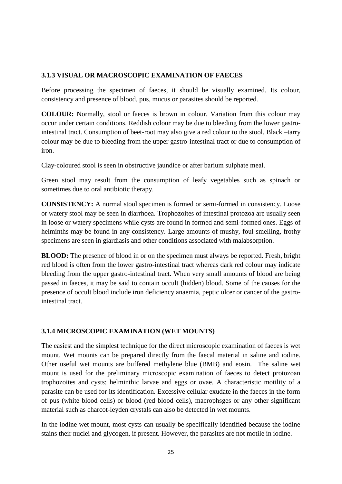## **3.1.3 VISUAL OR MACROSCOPIC EXAMINATION OF FAECES**

Before processing the specimen of faeces, it should be visually examined. Its colour, consistency and presence of blood, pus, mucus or parasites should be reported.

**COLOUR:** Normally, stool or faeces is brown in colour. Variation from this colour may occur under certain conditions. Reddish colour may be due to bleeding from the lower gastrointestinal tract. Consumption of beet-root may also give a red colour to the stool. Black –tarry colour may be due to bleeding from the upper gastro-intestinal tract or due to consumption of iron.

Clay-coloured stool is seen in obstructive jaundice or after barium sulphate meal.

Green stool may result from the consumption of leafy vegetables such as spinach or sometimes due to oral antibiotic therapy.

**CONSISTENCY:** A normal stool specimen is formed or semi-formed in consistency. Loose or watery stool may be seen in diarrhoea. Trophozoites of intestinal protozoa are usually seen in loose or watery specimens while cysts are found in formed and semi-formed ones. Eggs of helminths may be found in any consistency. Large amounts of mushy, foul smelling, frothy specimens are seen in giardiasis and other conditions associated with malabsorption.

**BLOOD:** The presence of blood in or on the specimen must always be reported. Fresh, bright red blood is often from the lower gastro-intestinal tract whereas dark red colour may indicate bleeding from the upper gastro-intestinal tract. When very small amounts of blood are being passed in faeces, it may be said to contain occult (hidden) blood. Some of the causes for the presence of occult blood include iron deficiency anaemia, peptic ulcer or cancer of the gastrointestinal tract.

# **3.1.4 MICROSCOPIC EXAMINATION (WET MOUNTS)**

The easiest and the simplest technique for the direct microscopic examination of faeces is wet mount. Wet mounts can be prepared directly from the faecal material in saline and iodine. Other useful wet mounts are buffered methylene blue (BMB) and eosin. The saline wet mount is used for the preliminary microscopic examination of faeces to detect protozoan trophozoites and cysts; helminthic larvae and eggs or ovae. A characteristic motility of a parasite can be used for its identification. Excessive cellular exudate in the faeces in the form of pus (white blood cells) or blood (red blood cells), macrophsges or any other significant material such as charcot-leyden crystals can also be detected in wet mounts.

In the iodine wet mount, most cysts can usually be specifically identified because the iodine stains their nuclei and glycogen, if present. However, the parasites are not motile in iodine.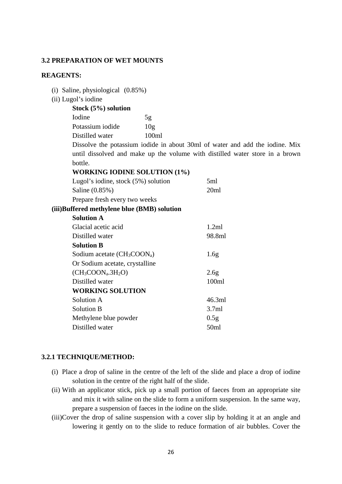#### **3.2 PREPARATION OF WET MOUNTS**

#### **REAGENTS:**

| (i) Saline, physiological $(0.85\%)$                                         |                 |                                                                              |  |
|------------------------------------------------------------------------------|-----------------|------------------------------------------------------------------------------|--|
| (ii) Lugol's iodine                                                          |                 |                                                                              |  |
| Stock $(5%)$ solution                                                        |                 |                                                                              |  |
| Iodine                                                                       | 5g              |                                                                              |  |
| Potassium iodide                                                             | 10 <sub>g</sub> |                                                                              |  |
| Distilled water                                                              | 100ml           |                                                                              |  |
| Dissolve the potassium iodide in about 30ml of water and add the iodine. Mix |                 |                                                                              |  |
|                                                                              |                 | until dissolved and make up the volume with distilled water store in a brown |  |
| bottle.                                                                      |                 |                                                                              |  |
| <b>WORKING IODINE SOLUTION (1%)</b>                                          |                 |                                                                              |  |
| Lugol's iodine, stock (5%) solution                                          |                 | 5ml                                                                          |  |
| Saline (0.85%)                                                               |                 | 20ml                                                                         |  |
| Prepare fresh every two weeks                                                |                 |                                                                              |  |
| (iii)Buffered methylene blue (BMB) solution                                  |                 |                                                                              |  |
| <b>Solution A</b>                                                            |                 |                                                                              |  |
| Glacial acetic acid                                                          |                 | 1.2ml                                                                        |  |
| Distilled water                                                              |                 | 98.8ml                                                                       |  |
| <b>Solution B</b>                                                            |                 |                                                                              |  |
| Sodium acetate $(CH_3COON_a)$                                                |                 | 1.6 <sub>g</sub>                                                             |  |
| Or Sodium acetate, crystalline                                               |                 |                                                                              |  |
| $(CH3COONa.3H2O)$                                                            |                 | 2.6g                                                                         |  |
| Distilled water                                                              |                 | 100ml                                                                        |  |
| <b>WORKING SOLUTION</b>                                                      |                 |                                                                              |  |
| Solution A                                                                   |                 | 46.3ml                                                                       |  |
| <b>Solution B</b>                                                            |                 | 3.7ml                                                                        |  |
| Methylene blue powder                                                        |                 | 0.5g                                                                         |  |

#### **3.2.1 TECHNIQUE/METHOD:**

(i) Place a drop of saline in the centre of the left of the slide and place a drop of iodine solution in the centre of the right half of the slide.

Distilled water 50ml

- (ii) With an applicator stick, pick up a small portion of faeces from an appropriate site and mix it with saline on the slide to form a uniform suspension. In the same way, prepare a suspension of faeces in the iodine on the slide.
- (iii)Cover the drop of saline suspension with a cover slip by holding it at an angle and lowering it gently on to the slide to reduce formation of air bubbles. Cover the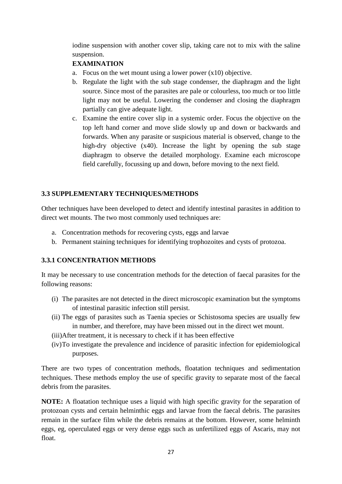iodine suspension with another cover slip, taking care not to mix with the saline suspension.

# **EXAMINATION**

- a. Focus on the wet mount using a lower power  $(x10)$  objective.
- b. Regulate the light with the sub stage condenser, the diaphragm and the light source. Since most of the parasites are pale or colourless, too much or too little light may not be useful. Lowering the condenser and closing the diaphragm partially can give adequate light.
- c. Examine the entire cover slip in a systemic order. Focus the objective on the top left hand corner and move slide slowly up and down or backwards and forwards. When any parasite or suspicious material is observed, change to the high-dry objective (x40). Increase the light by opening the sub stage diaphragm to observe the detailed morphology. Examine each microscope field carefully, focussing up and down, before moving to the next field.

# **3.3 SUPPLEMENTARY TECHNIQUES/METHODS**

Other techniques have been developed to detect and identify intestinal parasites in addition to direct wet mounts. The two most commonly used techniques are:

- a. Concentration methods for recovering cysts, eggs and larvae
- b. Permanent staining techniques for identifying trophozoites and cysts of protozoa.

# **3.3.1 CONCENTRATION METHODS**

It may be necessary to use concentration methods for the detection of faecal parasites for the following reasons:

- (i) The parasites are not detected in the direct microscopic examination but the symptoms of intestinal parasitic infection still persist.
- (ii) The eggs of parasites such as Taenia species or Schistosoma species are usually few in number, and therefore, may have been missed out in the direct wet mount.
- (iii)After treatment, it is necessary to check if it has been effective
- (iv)To investigate the prevalence and incidence of parasitic infection for epidemiological purposes.

There are two types of concentration methods, floatation techniques and sedimentation techniques. These methods employ the use of specific gravity to separate most of the faecal debris from the parasites.

**NOTE:** A floatation technique uses a liquid with high specific gravity for the separation of protozoan cysts and certain helminthic eggs and larvae from the faecal debris. The parasites remain in the surface film while the debris remains at the bottom. However, some helminth eggs, eg, operculated eggs or very dense eggs such as unfertilized eggs of Ascaris, may not float.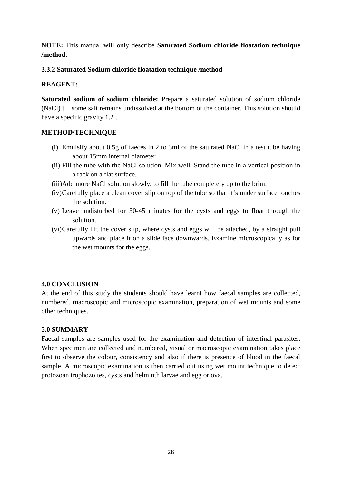**NOTE:** This manual will only describe **Saturated Sodium chloride floatation technique /method.**

# **3.3.2 Saturated Sodium chloride floatation technique /method**

# **REAGENT:**

**Saturated sodium of sodium chloride:** Prepare a saturated solution of sodium chloride (NaCl) till some salt remains undissolved at the bottom of the container. This solution should have a specific gravity 1.2 .

# **METHOD/TECHNIQUE**

- (i) Emulsify about 0.5g of faeces in 2 to 3ml of the saturated NaCl in a test tube having about 15mm internal diameter
- (ii) Fill the tube with the NaCl solution. Mix well. Stand the tube in a vertical position in a rack on a flat surface.
- (iii)Add more NaCl solution slowly, to fill the tube completely up to the brim.
- (iv)Carefully place a clean cover slip on top of the tube so that it's under surface touches the solution.
- (v) Leave undisturbed for 30-45 minutes for the cysts and eggs to float through the solution.
- (vi)Carefully lift the cover slip, where cysts and eggs will be attached, by a straight pull upwards and place it on a slide face downwards. Examine microscopically as for the wet mounts for the eggs.

# **4.0 CONCLUSION**

At the end of this study the students should have learnt how faecal samples are collected, numbered, macroscopic and microscopic examination, preparation of wet mounts and some other techniques.

# **5.0 SUMMARY**

Faecal samples are samples used for the examination and detection of intestinal parasites. When specimen are collected and numbered, visual or macroscopic examination takes place first to observe the colour, consistency and also if there is presence of blood in the faecal sample. A microscopic examination is then carried out using wet mount technique to detect protozoan trophozoites, cysts and helminth larvae and egg or ova.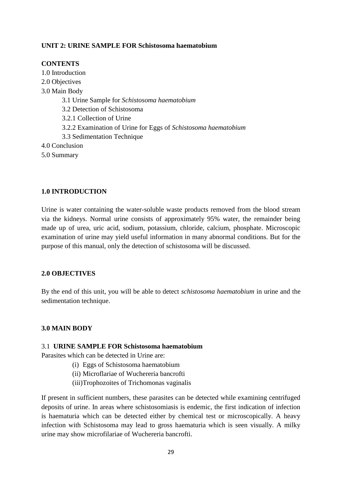## **UNIT 2: URINE SAMPLE FOR Schistosoma haematobium**

#### **CONTENTS**

1.0 Introduction 2.0 Objectives 3.0 Main Body 3.1 Urine Sample for *Schistosoma haematobium* 3.2 Detection of Schistosoma 3.2.1 Collection of Urine 3.2.2 Examination of Urine for Eggs of *Schistosoma haematobium* 3.3 Sedimentation Technique 4.0 Conclusion 5.0 Summary

#### **1.0 INTRODUCTION**

Urine is water containing the water-soluble waste products removed from the blood stream via the kidneys. Normal urine consists of approximately 95% water, the remainder being made up of urea, uric acid, sodium, potassium, chloride, calcium, phosphate. Microscopic examination of urine may yield useful information in many abnormal conditions. But for the purpose of this manual, only the detection of schistosoma will be discussed.

#### **2.0 OBJECTIVES**

By the end of this unit, you will be able to detect *schistosoma haematobium* in urine and the sedimentation technique.

#### **3.0 MAIN BODY**

#### 3.1 **URINE SAMPLE FOR Schistosoma haematobium**

Parasites which can be detected in Urine are:

- (i) Eggs of Schistosoma haematobium
- (ii) Microflariae of Wuchereria bancrofti
- (iii)Trophozoites of Trichomonas vaginalis

If present in sufficient numbers, these parasites can be detected while examining centrifuged deposits of urine. In areas where schistosomiasis is endemic, the first indication of infection is haematuria which can be detected either by chemical test or microscopically. A heavy infection with Schistosoma may lead to gross haematuria which is seen visually. A milky urine may show microfilariae of Wuchereria bancrofti.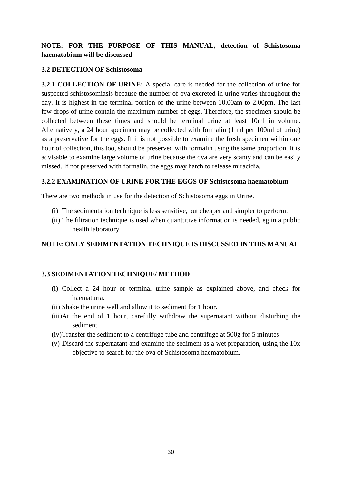# **NOTE: FOR THE PURPOSE OF THIS MANUAL, detection of Schistosoma haematobium will be discussed**

## **3.2 DETECTION OF Schistosoma**

**3.2.1 COLLECTION OF URINE:** A special care is needed for the collection of urine for suspected schistosomiasis because the number of ova excreted in urine varies throughout the day. It is highest in the terminal portion of the urine between 10.00am to 2.00pm. The last few drops of urine contain the maximum number of eggs. Therefore, the specimen should be collected between these times and should be terminal urine at least 10ml in volume. Alternatively, a 24 hour specimen may be collected with formalin (1 ml per 100ml of urine) as a preservative for the eggs. If it is not possible to examine the fresh specimen within one hour of collection, this too, should be preserved with formalin using the same proportion. It is advisable to examine large volume of urine because the ova are very scanty and can be easily missed. If not preserved with formalin, the eggs may hatch to release miracidia.

#### **3.2.2 EXAMINATION OF URINE FOR THE EGGS OF Schistosoma haematobium**

There are two methods in use for the detection of Schistosoma eggs in Urine.

- (i) The sedimentation technique is less sensitive, but cheaper and simpler to perform.
- (ii) The filtration technique is used when quanttitive information is needed, eg in a public health laboratory.

# **NOTE: ONLY SEDIMENTATION TECHNIQUE IS DISCUSSED IN THIS MANUAL**

# **3.3 SEDIMENTATION TECHNIQUE/ METHOD**

- (i) Collect a 24 hour or terminal urine sample as explained above, and check for haematuria.
- (ii) Shake the urine well and allow it to sediment for 1 hour.
- (iii)At the end of 1 hour, carefully withdraw the supernatant without disturbing the sediment.
- (iv)Transfer the sediment to a centrifuge tube and centrifuge at 500g for 5 minutes
- (v) Discard the supernatant and examine the sediment as a wet preparation, using the 10x objective to search for the ova of Schistosoma haematobium.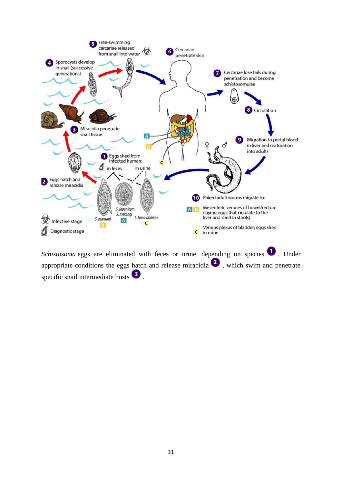

*Schistosoma* eggs are eliminated with feces or urine, depending on species  $\bullet$ . Under appropriate conditions the eggs hatch and release miracidia  $\bullet$ , which swim and penetrate specific snail intermediate hosts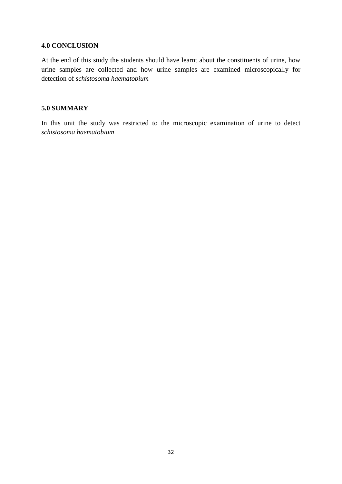#### **4.0 CONCLUSION**

At the end of this study the students should have learnt about the constituents of urine, how urine samples are collected and how urine samples are examined microscopically for detection of *schistosoma haematobium*

#### **5.0 SUMMARY**

In this unit the study was restricted to the microscopic examination of urine to detect *schistosoma haematobium*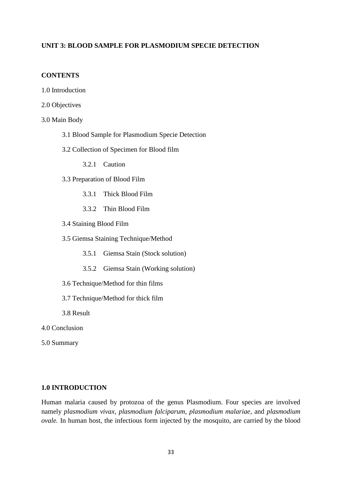## **UNIT 3: BLOOD SAMPLE FOR PLASMODIUM SPECIE DETECTION**

#### **CONTENTS**

- 1.0 Introduction
- 2.0 Objectives
- 3.0 Main Body
	- 3.1 Blood Sample for Plasmodium Specie Detection
	- 3.2 Collection of Specimen for Blood film

3.2.1 Caution

- 3.3 Preparation of Blood Film
	- 3.3.1 Thick Blood Film
	- 3.3.2 Thin Blood Film
- 3.4 Staining Blood Film
- 3.5 Giemsa Staining Technique/Method
	- 3.5.1 Giemsa Stain (Stock solution)
	- 3.5.2 Giemsa Stain (Working solution)
- 3.6 Technique/Method for thin films
- 3.7 Technique/Method for thick film
- 3.8 Result
- 4.0 Conclusion
- 5.0 Summary

#### **1.0 INTRODUCTION**

Human malaria caused by protozoa of the genus Plasmodium. Four species are involved namely *plasmodium vivax*, *plasmodium falciparum*, *plasmodium malariae*, and *plasmodium ovale.* In human host, the infectious form injected by the mosquito, are carried by the blood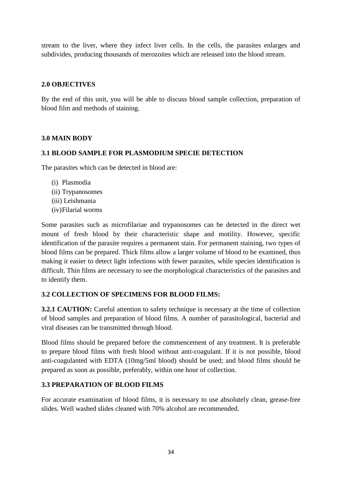stream to the liver, where they infect liver cells. In the cells, the parasites enlarges and subdivides, producing thousands of merozoites which are released into the blood stream.

# **2.0 OBJECTIVES**

By the end of this unit, you will be able to discuss blood sample collection, preparation of blood film and methods of staining.

# **3.0 MAIN BODY**

# **3.1 BLOOD SAMPLE FOR PLASMODIUM SPECIE DETECTION**

The parasites which can be detected in blood are:

- (i) Plasmodia (ii) Trypanosomes (iii) Leishmania
- (iv)Filarial worms

Some parasites such as microfilariae and trypanosomes can be detected in the direct wet mount of fresh blood by their characteristic shape and motility. However, specific identification of the parasite requires a permanent stain. For permanent staining, two types of blood films can be prepared. Thick films allow a larger volume of blood to be examined, thus making it easier to detect light infections with fewer parasites, while species identification is difficult. Thin films are necessary to see the morphological characteristics of the parasites and to identify them.

# **3.2 COLLECTION OF SPECIMENS FOR BLOOD FILMS:**

**3.2.1 CAUTION:** Careful attention to safety technique is necessary at the time of collection of blood samples and preparation of blood films. A number of parasitological, bacterial and viral diseases can be transmitted through blood.

Blood films should be prepared before the commencement of any treatment. It is preferable to prepare blood films with fresh blood without anti-coagulant. If it is not possible, blood anti-coagulanted with EDTA (10mg/5ml blood) should be used; and blood films should be prepared as soon as possible, preferably, within one hour of collection.

#### **3.3 PREPARATION OF BLOOD FILMS**

For accurate examination of blood films, it is necessary to use absolutely clean, grease-free slides. Well washed slides cleaned with 70% alcohol are recommended.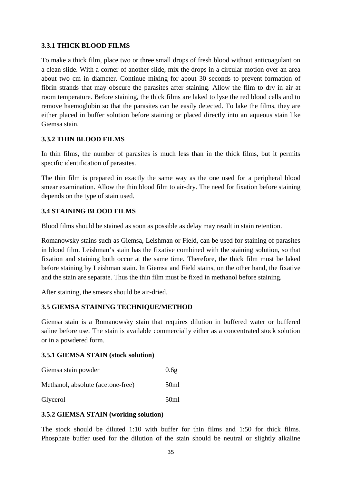# **3.3.1 THICK BLOOD FILMS**

To make a thick film, place two or three small drops of fresh blood without anticoagulant on a clean slide. With a corner of another slide, mix the drops in a circular motion over an area about two cm in diameter. Continue mixing for about 30 seconds to prevent formation of fibrin strands that may obscure the parasites after staining. Allow the film to dry in air at room temperature. Before staining, the thick films are laked to lyse the red blood cells and to remove haemoglobin so that the parasites can be easily detected. To lake the films, they are either placed in buffer solution before staining or placed directly into an aqueous stain like Giemsa stain.

# **3.3.2 THIN BLOOD FILMS**

In thin films, the number of parasites is much less than in the thick films, but it permits specific identification of parasites.

The thin film is prepared in exactly the same way as the one used for a peripheral blood smear examination. Allow the thin blood film to air-dry. The need for fixation before staining depends on the type of stain used.

# **3.4 STAINING BLOOD FILMS**

Blood films should be stained as soon as possible as delay may result in stain retention.

Romanowsky stains such as Giemsa, Leishman or Field, can be used for staining of parasites in blood film. Leishman's stain has the fixative combined with the staining solution, so that fixation and staining both occur at the same time. Therefore, the thick film must be laked before staining by Leishman stain. In Giemsa and Field stains, on the other hand, the fixative and the stain are separate. Thus the thin film must be fixed in methanol before staining.

After staining, the smears should be air-dried.

# **3.5 GIEMSA STAINING TECHNIQUE/METHOD**

Giemsa stain is a Romanowsky stain that requires dilution in buffered water or buffered saline before use. The stain is available commercially either as a concentrated stock solution or in a powdered form.

#### **3.5.1 GIEMSA STAIN (stock solution)**

| Giemsa stain powder               | 0.6g |
|-----------------------------------|------|
| Methanol, absolute (acetone-free) | 50ml |
| Glycerol                          | 50ml |

#### **3.5.2 GIEMSA STAIN (working solution)**

The stock should be diluted 1:10 with buffer for thin films and 1:50 for thick films. Phosphate buffer used for the dilution of the stain should be neutral or slightly alkaline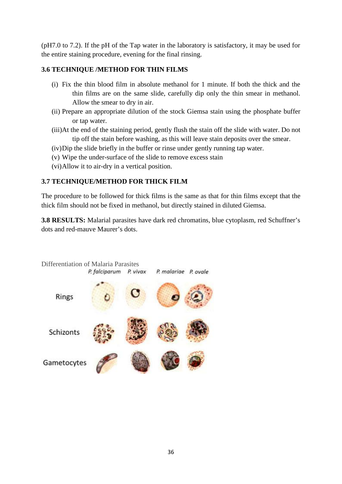(pH7.0 to 7.2). If the pH of the Tap water in the laboratory is satisfactory, it may be used for the entire staining procedure, evening for the final rinsing.

# **3.6 TECHNIQUE /METHOD FOR THIN FILMS**

- (i) Fix the thin blood film in absolute methanol for 1 minute. If both the thick and the thin films are on the same slide, carefully dip only the thin smear in methanol. Allow the smear to dry in air.
- (ii) Prepare an appropriate dilution of the stock Giemsa stain using the phosphate buffer or tap water.
- (iii)At the end of the staining period, gently flush the stain off the slide with water. Do not tip off the stain before washing, as this will leave stain deposits over the smear.
- (iv)Dip the slide briefly in the buffer or rinse under gently running tap water.
- (v) Wipe the under-surface of the slide to remove excess stain
- (vi)Allow it to air-dry in a vertical position.

# **3.7 TECHNIQUE/METHOD FOR THICK FILM**

The procedure to be followed for thick films is the same as that for thin films except that the thick film should not be fixed in methanol, but directly stained in diluted Giemsa.

**3.8 RESULTS:** Malarial parasites have dark red chromatins, blue cytoplasm, red Schuffner's dots and red-mauve Maurer's dots.

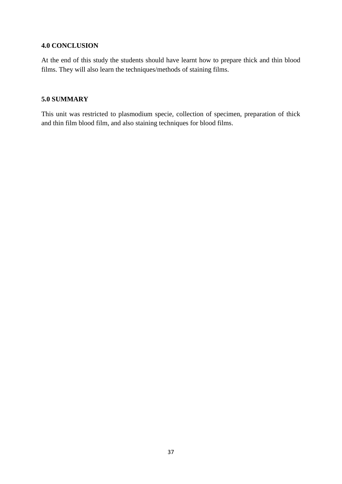#### **4.0 CONCLUSION**

At the end of this study the students should have learnt how to prepare thick and thin blood films. They will also learn the techniques/methods of staining films.

## **5.0 SUMMARY**

This unit was restricted to plasmodium specie, collection of specimen, preparation of thick and thin film blood film, and also staining techniques for blood films.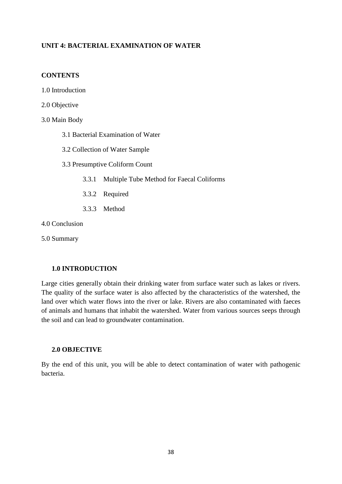# **UNIT 4: BACTERIAL EXAMINATION OF WATER**

#### **CONTENTS**

- 1.0 Introduction
- 2.0 Objective
- 3.0 Main Body
	- 3.1 Bacterial Examination of Water
	- 3.2 Collection of Water Sample
	- 3.3 Presumptive Coliform Count
		- 3.3.1 Multiple Tube Method for Faecal Coliforms
		- 3.3.2 Required
		- 3.3.3 Method
- 4.0 Conclusion

5.0 Summary

#### **1.0 INTRODUCTION**

Large cities generally obtain their drinking water from surface water such as lakes or rivers. The quality of the surface water is also affected by the characteristics of the watershed, the land over which water flows into the river or lake. Rivers are also contaminated with faeces of animals and humans that inhabit the watershed. Water from various sources seeps through the soil and can lead to groundwater contamination.

#### **2.0 OBJECTIVE**

By the end of this unit, you will be able to detect contamination of water with pathogenic bacteria.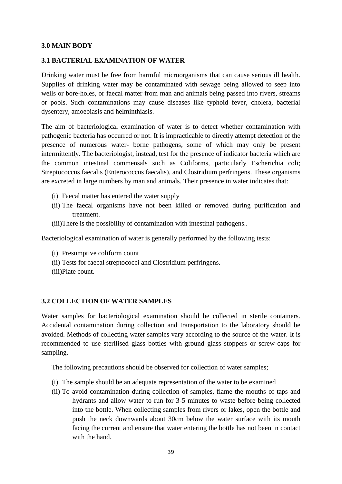#### **3.0 MAIN BODY**

#### **3.1 BACTERIAL EXAMINATION OF WATER**

Drinking water must be free from harmful microorganisms that can cause serious ill health. Supplies of drinking water may be contaminated with sewage being allowed to seep into wells or bore-holes, or faecal matter from man and animals being passed into rivers, streams or pools. Such contaminations may cause diseases like typhoid fever, cholera, bacterial dysentery, amoebiasis and helminthiasis.

The aim of bacteriological examination of water is to detect whether contamination with pathogenic bacteria has occurred or not. It is impracticable to directly attempt detection of the presence of numerous water- borne pathogens, some of which may only be present intermittently. The bacteriologist, instead, test for the presence of indicator bacteria which are the common intestinal commensals such as Coliforms, particularly Escherichia coli; Streptococcus faecalis (Enterococcus faecalis), and Clostridium perfringens. These organisms are excreted in large numbers by man and animals. Their presence in water indicates that:

- (i) Faecal matter has entered the water supply
- (ii) The faecal organisms have not been killed or removed during purification and treatment.
- (iii)There is the possibility of contamination with intestinal pathogens..

Bacteriological examination of water is generally performed by the following tests:

- (i) Presumptive coliform count
- (ii) Tests for faecal streptococci and Clostridium perfringens.
- (iii)Plate count.

#### **3.2 COLLECTION OF WATER SAMPLES**

Water samples for bacteriological examination should be collected in sterile containers. Accidental contamination during collection and transportation to the laboratory should be avoided. Methods of collecting water samples vary according to the source of the water. It is recommended to use sterilised glass bottles with ground glass stoppers or screw-caps for sampling.

The following precautions should be observed for collection of water samples;

- (i) The sample should be an adequate representation of the water to be examined
- (ii) To avoid contamination during collection of samples, flame the mouths of taps and hydrants and allow water to run for 3-5 minutes to waste before being collected into the bottle. When collecting samples from rivers or lakes, open the bottle and push the neck downwards about 30cm below the water surface with its mouth facing the current and ensure that water entering the bottle has not been in contact with the hand.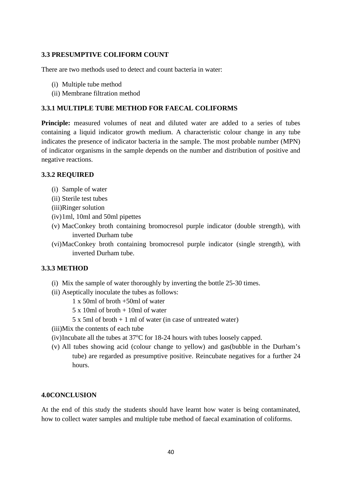#### **3.3 PRESUMPTIVE COLIFORM COUNT**

There are two methods used to detect and count bacteria in water:

- (i) Multiple tube method
- (ii) Membrane filtration method

#### **3.3.1 MULTIPLE TUBE METHOD FOR FAECAL COLIFORMS**

**Principle:** measured volumes of neat and diluted water are added to a series of tubes containing a liquid indicator growth medium. A characteristic colour change in any tube indicates the presence of indicator bacteria in the sample. The most probable number (MPN) of indicator organisms in the sample depends on the number and distribution of positive and negative reactions.

#### **3.3.2 REQUIRED**

- (i) Sample of water
- (ii) Sterile test tubes
- (iii)Ringer solution
- (iv)1ml, 10ml and 50ml pipettes
- (v) MacConkey broth containing bromocresol purple indicator (double strength), with inverted Durham tube
- (vi)MacConkey broth containing bromocresol purple indicator (single strength), with inverted Durham tube.

# **3.3.3 METHOD**

- (i) Mix the sample of water thoroughly by inverting the bottle 25-30 times.
- (ii) Aseptically inoculate the tubes as follows:
	- 1 x 50ml of broth +50ml of water
	- 5 x 10ml of broth + 10ml of water
	- 5 x 5ml of broth + 1 ml of water (in case of untreated water)
- (iii)Mix the contents of each tube
- (iv)Incubate all the tubes at  $37^{\circ}$ C for 18-24 hours with tubes loosely capped.
- (v) All tubes showing acid (colour change to yellow) and gas(bubble in the Durham's tube) are regarded as presumptive positive. Reincubate negatives for a further 24 hours.

#### **4.0CONCLUSION**

At the end of this study the students should have learnt how water is being contaminated, how to collect water samples and multiple tube method of faecal examination of coliforms.